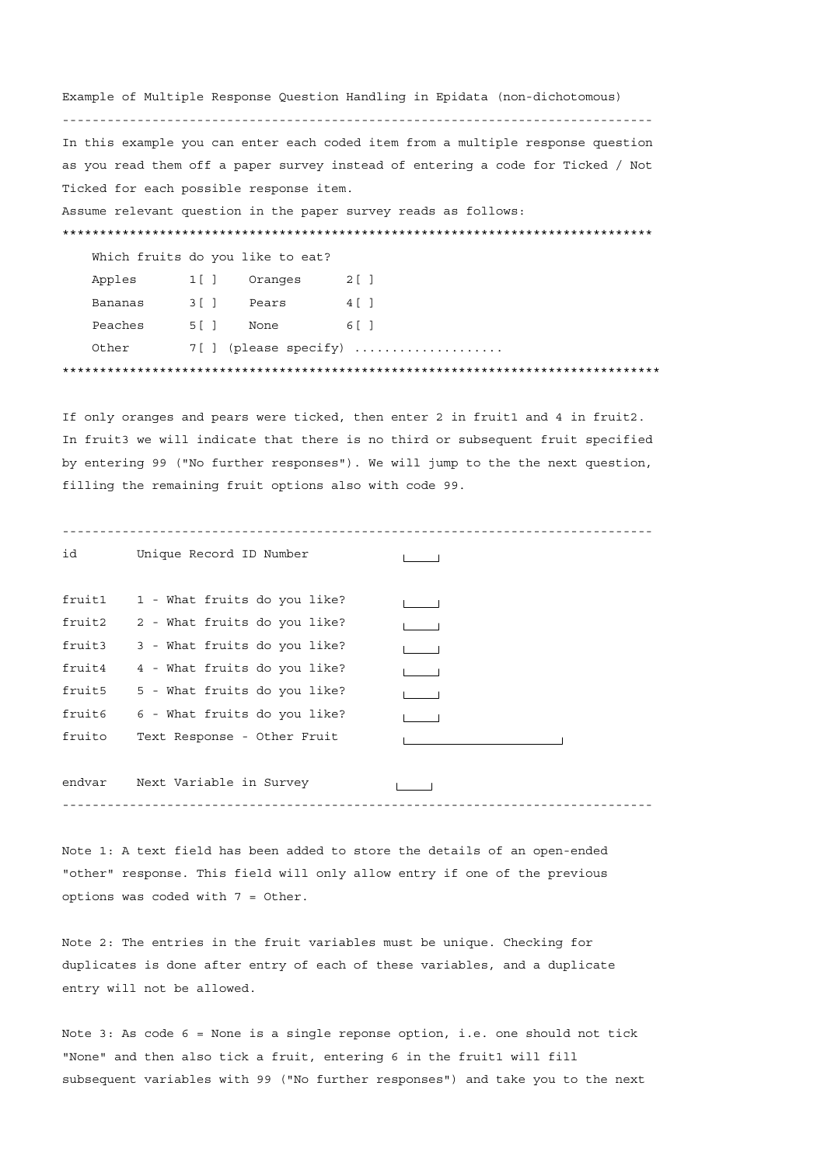Example of Multiple Response Question Handling in Epidata (non-dichotomous) ------------------------------------------------------------------------------- In this example you can enter each coded item from a multiple response question as you read them off a paper survey instead of entering a code for Ticked / Not Ticked for each possible response item. Assume relevant question in the paper survey reads as follows: \*\*\*\*\*\*\*\*\*\*\*\*\*\*\*\*\*\*\*\*\*\*\*\*\*\*\*\*\*\*\*\*\*\*\*\*\*\*\*\*\*\*\*\*\*\*\*\*\*\*\*\*\*\*\*\*\*\*\*\*\*\*\*\*\*\*\*\*\*\*\*\*\*\*\*\*\*\*\* Which fruits do you like to eat? Apples 1[ ] Oranges 2[ ] Bananas 3[ ] Pears 4[ ] Peaches 5[ ] None 6[ ] Other 7[ ] (please specify) .................... \*\*\*\*\*\*\*\*\*\*\*\*\*\*\*\*\*\*\*\*\*\*\*\*\*\*\*\*\*\*\*\*\*\*\*\*\*\*\*\*\*\*\*\*\*\*\*\*\*\*\*\*\*\*\*\*\*\*\*\*\*\*\*\*\*\*\*\*\*\*\*\*\*\*\*\*\*\*\*\*

If only oranges and pears were ticked, then enter 2 in fruit1 and 4 in fruit2. In fruit3 we will indicate that there is no third or subsequent fruit specified by entering 99 ("No further responses"). We will jump to the the next question, filling the remaining fruit options also with code 99.

| id     | Unique Record ID Number             |  |
|--------|-------------------------------------|--|
| fruit1 | 1 - What fruits do you like?        |  |
| fruit2 | 2 - What fruits do you like?        |  |
| fruit3 | 3 - What fruits do you like?        |  |
| fruit4 | 4 - What fruits do you like?        |  |
| fruit5 | 5 - What fruits do you like?        |  |
|        | fruit6 6 - What fruits do you like? |  |
| fruito | Text Response - Other Fruit         |  |
|        |                                     |  |
| endvar | Next Variable in Survey             |  |
|        |                                     |  |

Note 1: A text field has been added to store the details of an open-ended "other" response. This field will only allow entry if one of the previous options was coded with 7 = Other.

Note 2: The entries in the fruit variables must be unique. Checking for duplicates is done after entry of each of these variables, and a duplicate entry will not be allowed.

Note 3: As code 6 = None is a single reponse option, i.e. one should not tick "None" and then also tick a fruit, entering 6 in the fruit1 will fill subsequent variables with 99 ("No further responses") and take you to the next